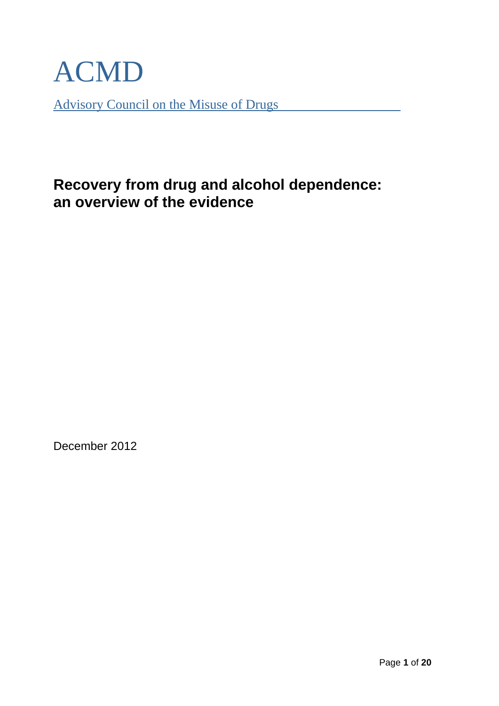

Advisory Council on the Misuse of Drugs

# **Recovery from drug and alcohol dependence: an overview of the evidence**

December 2012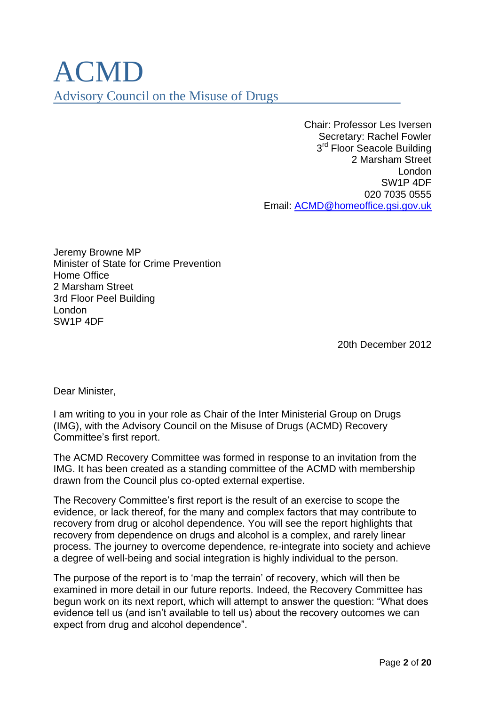# ACMD Advisory Council on the Misuse of Drugs

Chair: Professor Les Iversen Secretary: Rachel Fowler 3<sup>rd</sup> Floor Seacole Building 2 Marsham Street London SW1P 4DF 020 7035 0555 Email: [ACMD@homeoffice.gsi.gov.uk](mailto:ACMD@homeoffice.gsi.gov.uk)

Jeremy Browne MP Minister of State for Crime Prevention Home Office 2 Marsham Street 3rd Floor Peel Building London SW1P 4DF

20th December 2012

Dear Minister,

I am writing to you in your role as Chair of the Inter Ministerial Group on Drugs (IMG), with the Advisory Council on the Misuse of Drugs (ACMD) Recovery Committee"s first report.

The ACMD Recovery Committee was formed in response to an invitation from the IMG. It has been created as a standing committee of the ACMD with membership drawn from the Council plus co-opted external expertise.

The Recovery Committee"s first report is the result of an exercise to scope the evidence, or lack thereof, for the many and complex factors that may contribute to recovery from drug or alcohol dependence. You will see the report highlights that recovery from dependence on drugs and alcohol is a complex, and rarely linear process. The journey to overcome dependence, re-integrate into society and achieve a degree of well-being and social integration is highly individual to the person.

The purpose of the report is to "map the terrain" of recovery, which will then be examined in more detail in our future reports. Indeed, the Recovery Committee has begun work on its next report, which will attempt to answer the question: "What does evidence tell us (and isn"t available to tell us) about the recovery outcomes we can expect from drug and alcohol dependence".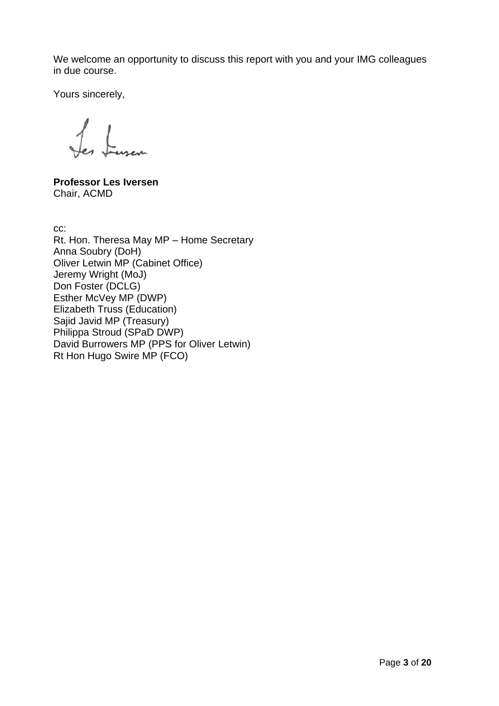We welcome an opportunity to discuss this report with you and your IMG colleagues in due course.

Yours sincerely,

en Lussen

**Professor Les Iversen** Chair, ACMD

cc:

Rt. Hon. Theresa May MP – Home Secretary Anna Soubry (DoH) Oliver Letwin MP (Cabinet Office) Jeremy Wright (MoJ) Don Foster (DCLG) Esther McVey MP (DWP) Elizabeth Truss (Education) Sajid Javid MP (Treasury) Philippa Stroud (SPaD DWP) David Burrowers MP (PPS for Oliver Letwin) Rt Hon Hugo Swire MP (FCO)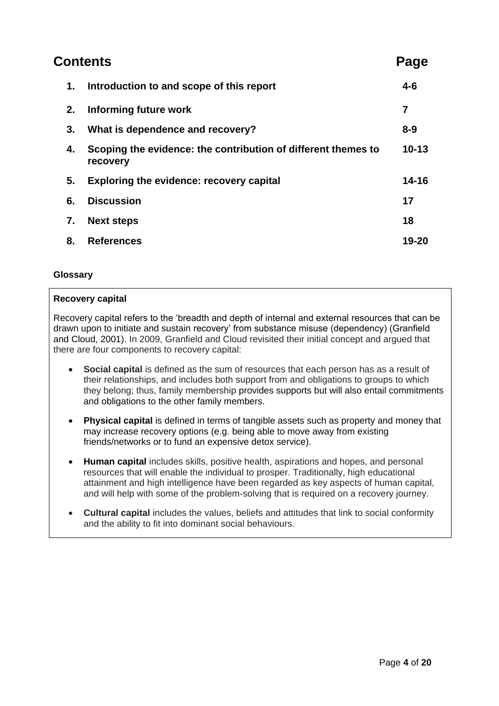| Contents |                                                                           | Page           |
|----------|---------------------------------------------------------------------------|----------------|
| 1.       | Introduction to and scope of this report                                  | $4 - 6$        |
| 2.       | <b>Informing future work</b>                                              | $\overline{7}$ |
| 3.       | What is dependence and recovery?                                          | $8 - 9$        |
| 4.       | Scoping the evidence: the contribution of different themes to<br>recovery | $10 - 13$      |
| 5.       | <b>Exploring the evidence: recovery capital</b>                           | $14 - 16$      |
| 6.       | <b>Discussion</b>                                                         | 17             |
| 7.       | <b>Next steps</b>                                                         | 18             |
| 8.       | <b>References</b>                                                         | 19-20          |

# **Glossary**

# **Recovery capital**

Recovery capital refers to the "breadth and depth of internal and external resources that can be drawn upon to initiate and sustain recovery" from substance misuse (dependency) (Granfield and Cloud, 2001). In 2009, Granfield and Cloud revisited their initial concept and argued that there are four components to recovery capital:

- **Social capital** is defined as the sum of resources that each person has as a result of their relationships, and includes both support from and obligations to groups to which they belong; thus, family membership provides supports but will also entail commitments and obligations to the other family members.
- **Physical capital** is defined in terms of tangible assets such as property and money that may increase recovery options (e.g. being able to move away from existing friends/networks or to fund an expensive detox service).
- **Human capital** includes skills, positive health, aspirations and hopes, and personal resources that will enable the individual to prosper. Traditionally, high educational attainment and high intelligence have been regarded as key aspects of human capital, and will help with some of the problem-solving that is required on a recovery journey.
- **Cultural capital** includes the values, beliefs and attitudes that link to social conformity and the ability to fit into dominant social behaviours.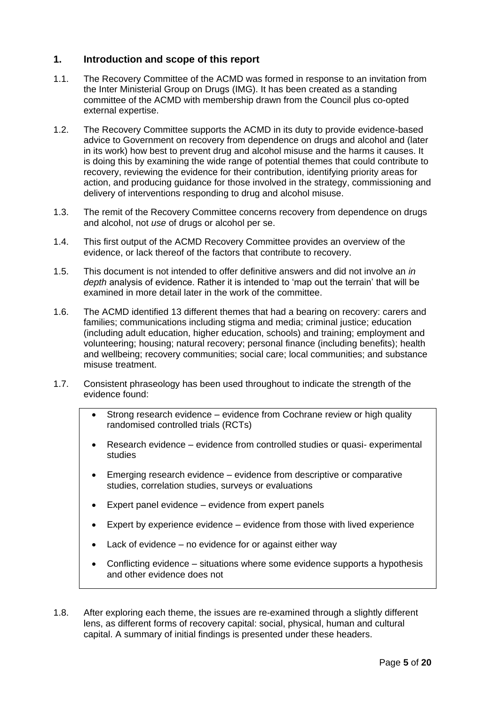# **1. Introduction and scope of this report**

- 1.1. The Recovery Committee of the ACMD was formed in response to an invitation from the Inter Ministerial Group on Drugs (IMG). It has been created as a standing committee of the ACMD with membership drawn from the Council plus co-opted external expertise.
- 1.2. The Recovery Committee supports the ACMD in its duty to provide evidence-based advice to Government on recovery from dependence on drugs and alcohol and (later in its work) how best to prevent drug and alcohol misuse and the harms it causes. It is doing this by examining the wide range of potential themes that could contribute to recovery, reviewing the evidence for their contribution, identifying priority areas for action, and producing guidance for those involved in the strategy, commissioning and delivery of interventions responding to drug and alcohol misuse.
- 1.3. The remit of the Recovery Committee concerns recovery from dependence on drugs and alcohol, not *use* of drugs or alcohol per se.
- 1.4. This first output of the ACMD Recovery Committee provides an overview of the evidence, or lack thereof of the factors that contribute to recovery.
- 1.5. This document is not intended to offer definitive answers and did not involve an *in depth* analysis of evidence. Rather it is intended to "map out the terrain" that will be examined in more detail later in the work of the committee.
- 1.6. The ACMD identified 13 different themes that had a bearing on recovery: carers and families; communications including stigma and media; criminal justice; education (including adult education, higher education, schools) and training; employment and volunteering; housing; natural recovery; personal finance (including benefits); health and wellbeing; recovery communities; social care; local communities; and substance misuse treatment.
- 1.7. Consistent phraseology has been used throughout to indicate the strength of the evidence found:
	- Strong research evidence evidence from Cochrane review or high quality randomised controlled trials (RCTs)
	- Research evidence evidence from controlled studies or quasi- experimental studies
	- Emerging research evidence evidence from descriptive or comparative studies, correlation studies, surveys or evaluations
	- Expert panel evidence evidence from expert panels
	- Expert by experience evidence evidence from those with lived experience
	- Lack of evidence no evidence for or against either way
	- Conflicting evidence situations where some evidence supports a hypothesis and other evidence does not
- 1.8. After exploring each theme, the issues are re-examined through a slightly different lens, as different forms of recovery capital: social, physical, human and cultural capital. A summary of initial findings is presented under these headers.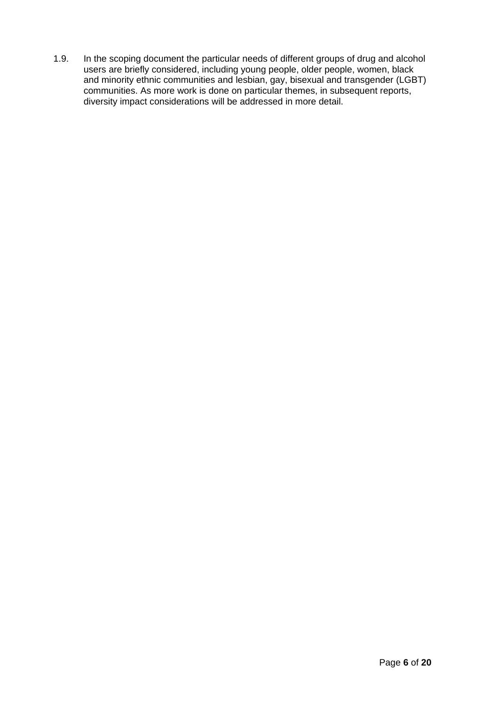1.9. In the scoping document the particular needs of different groups of drug and alcohol users are briefly considered, including young people, older people, women, black and minority ethnic communities and lesbian, gay, bisexual and transgender (LGBT) communities. As more work is done on particular themes, in subsequent reports, diversity impact considerations will be addressed in more detail.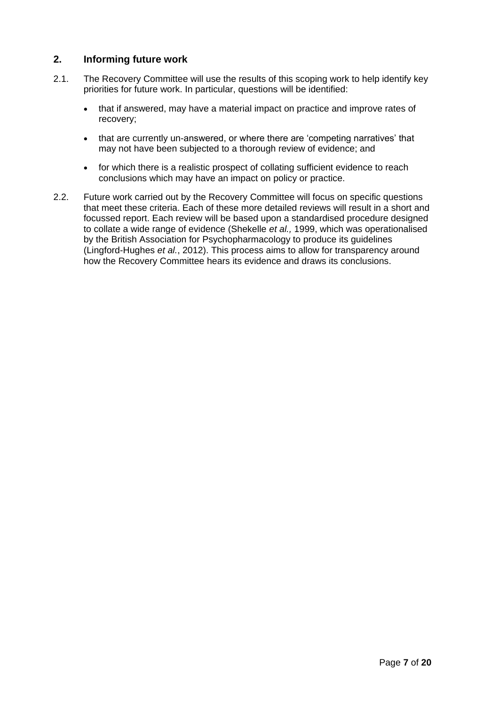# **2. Informing future work**

- 2.1. The Recovery Committee will use the results of this scoping work to help identify key priorities for future work. In particular, questions will be identified:
	- that if answered, may have a material impact on practice and improve rates of recovery;
	- that are currently un-answered, or where there are 'competing narratives' that may not have been subjected to a thorough review of evidence; and
	- for which there is a realistic prospect of collating sufficient evidence to reach conclusions which may have an impact on policy or practice.
- 2.2. Future work carried out by the Recovery Committee will focus on specific questions that meet these criteria. Each of these more detailed reviews will result in a short and focussed report. Each review will be based upon a standardised procedure designed to collate a wide range of evidence (Shekelle *et al.,* 1999, which was operationalised by the British Association for Psychopharmacology to produce its guidelines (Lingford-Hughes *et al.*, 2012). This process aims to allow for transparency around how the Recovery Committee hears its evidence and draws its conclusions.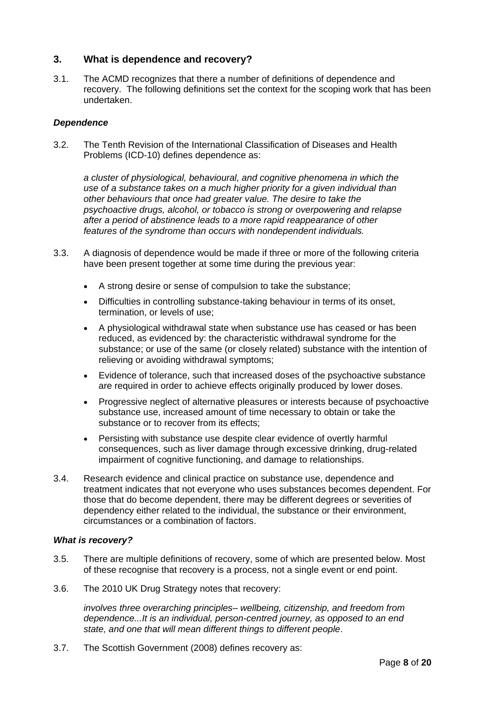# **3. What is dependence and recovery?**

3.1. The ACMD recognizes that there a number of definitions of dependence and recovery. The following definitions set the context for the scoping work that has been undertaken.

#### *Dependence*

3.2. The Tenth Revision of the International Classification of Diseases and Health Problems (ICD-10) defines dependence as:

*a cluster of physiological, behavioural, and cognitive phenomena in which the use of a substance takes on a much higher priority for a given individual than other behaviours that once had greater value. The desire to take the psychoactive drugs, alcohol, or tobacco is strong or overpowering and relapse after a period of abstinence leads to a more rapid reappearance of other features of the syndrome than occurs with nondependent individuals.*

- 3.3. A diagnosis of dependence would be made if three or more of the following criteria have been present together at some time during the previous year:
	- A strong desire or sense of compulsion to take the substance;
	- Difficulties in controlling substance-taking behaviour in terms of its onset, termination, or levels of use;
	- A physiological withdrawal state when substance use has ceased or has been reduced, as evidenced by: the characteristic withdrawal syndrome for the substance; or use of the same (or closely related) substance with the intention of relieving or avoiding withdrawal symptoms;
	- Evidence of tolerance, such that increased doses of the psychoactive substance are required in order to achieve effects originally produced by lower doses.
	- Progressive neglect of alternative pleasures or interests because of psychoactive substance use, increased amount of time necessary to obtain or take the substance or to recover from its effects;
	- Persisting with substance use despite clear evidence of overtly harmful consequences, such as liver damage through excessive drinking, drug-related impairment of cognitive functioning, and damage to relationships.
- 3.4. Research evidence and clinical practice on substance use, dependence and treatment indicates that not everyone who uses substances becomes dependent. For those that do become dependent, there may be different degrees or severities of dependency either related to the individual, the substance or their environment, circumstances or a combination of factors.

# *What is recovery?*

- 3.5. There are multiple definitions of recovery, some of which are presented below. Most of these recognise that recovery is a process, not a single event or end point.
- 3.6. The 2010 UK Drug Strategy notes that recovery:

*involves three overarching principles– wellbeing, citizenship, and freedom from dependence...It is an individual, person-centred journey, as opposed to an end state, and one that will mean different things to different people*.

3.7. The Scottish Government (2008) defines recovery as: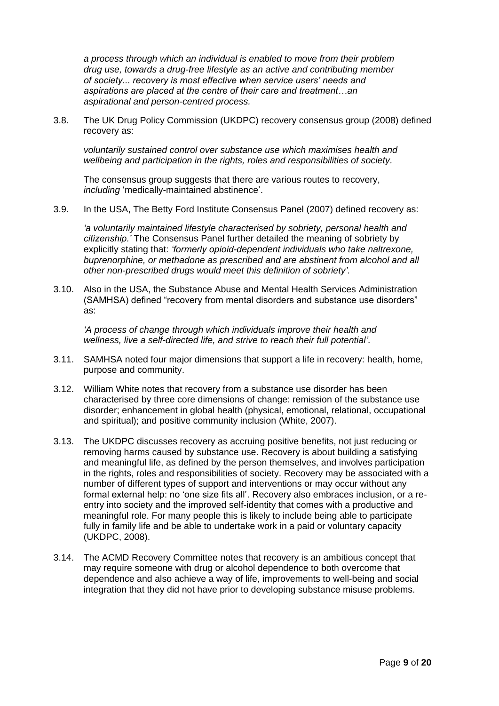*a process through which an individual is enabled to move from their problem drug use, towards a drug-free lifestyle as an active and contributing member of society... recovery is most effective when service users' needs and aspirations are placed at the centre of their care and treatment…an aspirational and person-centred process.*

3.8. The UK Drug Policy Commission (UKDPC) recovery consensus group (2008) defined recovery as:

*voluntarily sustained control over substance use which maximises health and wellbeing and participation in the rights, roles and responsibilities of society.*

The consensus group suggests that there are various routes to recovery, *including* "medically-maintained abstinence".

3.9. In the USA, The Betty Ford Institute Consensus Panel (2007) defined recovery as:

*'a voluntarily maintained lifestyle characterised by sobriety, personal health and citizenship.'* The Consensus Panel further detailed the meaning of sobriety by explicitly stating that: *'formerly opioid-dependent individuals who take naltrexone, buprenorphine, or methadone as prescribed and are abstinent from alcohol and all other non-prescribed drugs would meet this definition of sobriety'.*

3.10. Also in the USA, the Substance Abuse and Mental Health Services Administration (SAMHSA) defined "recovery from mental disorders and substance use disorders" as:

*'A process of change through which individuals improve their health and wellness, live a self-directed life, and strive to reach their full potential'.*

- 3.11. SAMHSA noted four major dimensions that support a life in recovery: health, home, purpose and community.
- 3.12. William White notes that recovery from a substance use disorder has been characterised by three core dimensions of change: remission of the substance use disorder; enhancement in global health (physical, emotional, relational, occupational and spiritual); and positive community inclusion (White, 2007).
- 3.13. The UKDPC discusses recovery as accruing positive benefits, not just reducing or removing harms caused by substance use. Recovery is about building a satisfying and meaningful life, as defined by the person themselves, and involves participation in the rights, roles and responsibilities of society. Recovery may be associated with a number of different types of support and interventions or may occur without any formal external help: no "one size fits all". Recovery also embraces inclusion, or a reentry into society and the improved self-identity that comes with a productive and meaningful role. For many people this is likely to include being able to participate fully in family life and be able to undertake work in a paid or voluntary capacity (UKDPC, 2008).
- 3.14. The ACMD Recovery Committee notes that recovery is an ambitious concept that may require someone with drug or alcohol dependence to both overcome that dependence and also achieve a way of life, improvements to well-being and social integration that they did not have prior to developing substance misuse problems.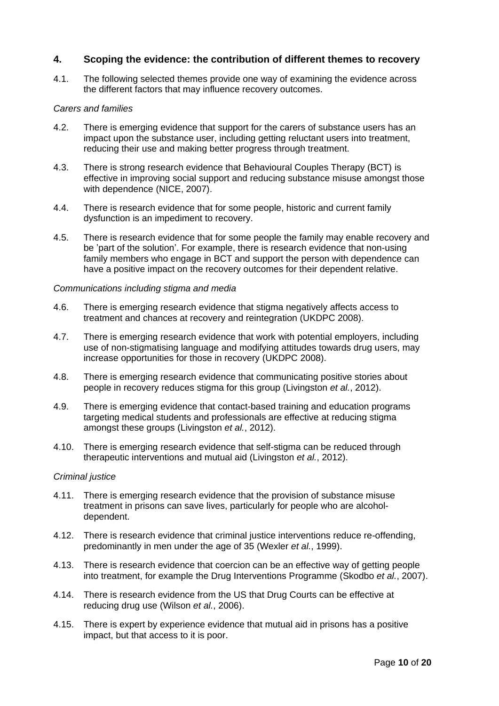# **4. Scoping the evidence: the contribution of different themes to recovery**

4.1. The following selected themes provide one way of examining the evidence across the different factors that may influence recovery outcomes.

#### *Carers and families*

- 4.2. There is emerging evidence that support for the carers of substance users has an impact upon the substance user, including getting reluctant users into treatment, reducing their use and making better progress through treatment.
- 4.3. There is strong research evidence that Behavioural Couples Therapy (BCT) is effective in improving social support and reducing substance misuse amongst those with dependence (NICE, 2007).
- 4.4. There is research evidence that for some people, historic and current family dysfunction is an impediment to recovery.
- 4.5. There is research evidence that for some people the family may enable recovery and be "part of the solution". For example, there is research evidence that non-using family members who engage in BCT and support the person with dependence can have a positive impact on the recovery outcomes for their dependent relative.

#### *Communications including stigma and media*

- 4.6. There is emerging research evidence that stigma negatively affects access to treatment and chances at recovery and reintegration (UKDPC 2008).
- 4.7. There is emerging research evidence that work with potential employers, including use of non-stigmatising language and modifying attitudes towards drug users, may increase opportunities for those in recovery (UKDPC 2008).
- 4.8. There is emerging research evidence that communicating positive stories about people in recovery reduces stigma for this group (Livingston *et al.*, 2012).
- 4.9. There is emerging evidence that contact-based training and education programs targeting medical students and professionals are effective at reducing stigma amongst these groups (Livingston *et al.*, 2012).
- 4.10. There is emerging research evidence that self-stigma can be reduced through therapeutic interventions and mutual aid (Livingston *et al.*, 2012).

#### *Criminal justice*

- 4.11. There is emerging research evidence that the provision of substance misuse treatment in prisons can save lives, particularly for people who are alcoholdependent.
- 4.12. There is research evidence that criminal justice interventions reduce re-offending, predominantly in men under the age of 35 (Wexler *et al.*, 1999).
- 4.13. There is research evidence that coercion can be an effective way of getting people into treatment, for example the Drug Interventions Programme (Skodbo *et al.*, 2007).
- 4.14. There is research evidence from the US that Drug Courts can be effective at reducing drug use (Wilson *et al.*, 2006).
- 4.15. There is expert by experience evidence that mutual aid in prisons has a positive impact, but that access to it is poor.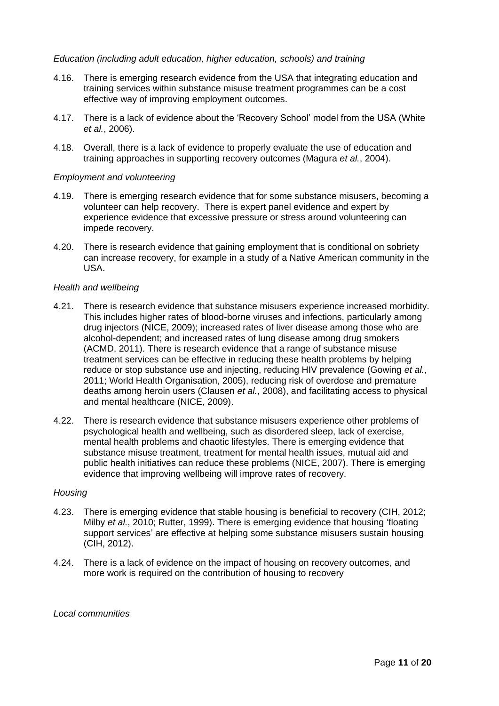#### *Education (including adult education, higher education, schools) and training*

- 4.16. There is emerging research evidence from the USA that integrating education and training services within substance misuse treatment programmes can be a cost effective way of improving employment outcomes.
- 4.17. There is a lack of evidence about the "Recovery School" model from the USA (White *et al.*, 2006).
- 4.18. Overall, there is a lack of evidence to properly evaluate the use of education and training approaches in supporting recovery outcomes (Magura *et al.*, 2004).

#### *Employment and volunteering*

- 4.19. There is emerging research evidence that for some substance misusers, becoming a volunteer can help recovery. There is expert panel evidence and expert by experience evidence that excessive pressure or stress around volunteering can impede recovery.
- 4.20. There is research evidence that gaining employment that is conditional on sobriety can increase recovery, for example in a study of a Native American community in the USA.

#### *Health and wellbeing*

- 4.21. There is research evidence that substance misusers experience increased morbidity. This includes higher rates of blood-borne viruses and infections, particularly among drug injectors (NICE, 2009); increased rates of liver disease among those who are alcohol-dependent; and increased rates of lung disease among drug smokers (ACMD, 2011). There is research evidence that a range of substance misuse treatment services can be effective in reducing these health problems by helping reduce or stop substance use and injecting, reducing HIV prevalence (Gowing *et al.*, 2011; World Health Organisation, 2005), reducing risk of overdose and premature deaths among heroin users (Clausen *et al.*, 2008), and facilitating access to physical and mental healthcare (NICE, 2009).
- 4.22. There is research evidence that substance misusers experience other problems of psychological health and wellbeing, such as disordered sleep, lack of exercise, mental health problems and chaotic lifestyles. There is emerging evidence that substance misuse treatment, treatment for mental health issues, mutual aid and public health initiatives can reduce these problems (NICE, 2007). There is emerging evidence that improving wellbeing will improve rates of recovery.

#### *Housing*

- 4.23. There is emerging evidence that stable housing is beneficial to recovery (CIH, 2012; Milby *et al.*, 2010; Rutter, 1999). There is emerging evidence that housing "floating support services' are effective at helping some substance misusers sustain housing (CIH, 2012).
- 4.24. There is a lack of evidence on the impact of housing on recovery outcomes, and more work is required on the contribution of housing to recovery

#### *Local communities*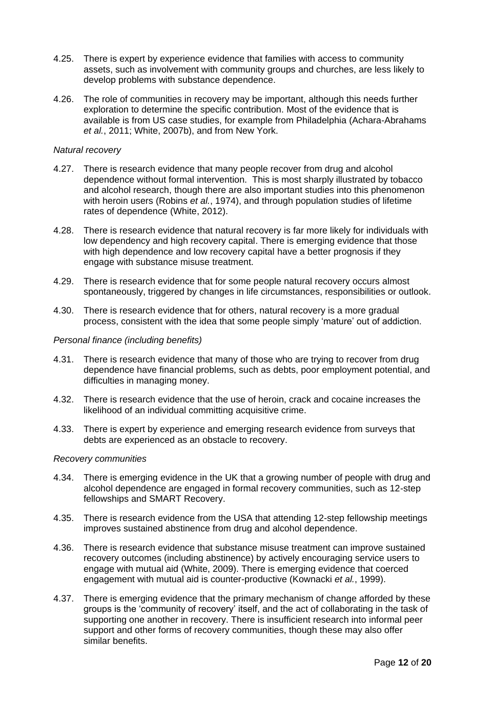- 4.25. There is expert by experience evidence that families with access to community assets, such as involvement with community groups and churches, are less likely to develop problems with substance dependence.
- 4.26. The role of communities in recovery may be important, although this needs further exploration to determine the specific contribution. Most of the evidence that is available is from US case studies, for example from Philadelphia (Achara-Abrahams *et al.*, 2011; White, 2007b), and from New York.

#### *Natural recovery*

- 4.27. There is research evidence that many people recover from drug and alcohol dependence without formal intervention. This is most sharply illustrated by tobacco and alcohol research, though there are also important studies into this phenomenon with heroin users (Robins *et al.*, 1974), and through population studies of lifetime rates of dependence (White, 2012).
- 4.28. There is research evidence that natural recovery is far more likely for individuals with low dependency and high recovery capital. There is emerging evidence that those with high dependence and low recovery capital have a better prognosis if they engage with substance misuse treatment.
- 4.29. There is research evidence that for some people natural recovery occurs almost spontaneously, triggered by changes in life circumstances, responsibilities or outlook.
- 4.30. There is research evidence that for others, natural recovery is a more gradual process, consistent with the idea that some people simply "mature" out of addiction.

#### *Personal finance (including benefits)*

- 4.31. There is research evidence that many of those who are trying to recover from drug dependence have financial problems, such as debts, poor employment potential, and difficulties in managing money.
- 4.32. There is research evidence that the use of heroin, crack and cocaine increases the likelihood of an individual committing acquisitive crime.
- 4.33. There is expert by experience and emerging research evidence from surveys that debts are experienced as an obstacle to recovery.

#### *Recovery communities*

- 4.34. There is emerging evidence in the UK that a growing number of people with drug and alcohol dependence are engaged in formal recovery communities, such as 12-step fellowships and SMART Recovery.
- 4.35. There is research evidence from the USA that attending 12-step fellowship meetings improves sustained abstinence from drug and alcohol dependence.
- 4.36. There is research evidence that substance misuse treatment can improve sustained recovery outcomes (including abstinence) by actively encouraging service users to engage with mutual aid (White, 2009). There is emerging evidence that coerced engagement with mutual aid is counter-productive (Kownacki *et al.*, 1999).
- 4.37. There is emerging evidence that the primary mechanism of change afforded by these groups is the "community of recovery" itself, and the act of collaborating in the task of supporting one another in recovery. There is insufficient research into informal peer support and other forms of recovery communities, though these may also offer similar benefits.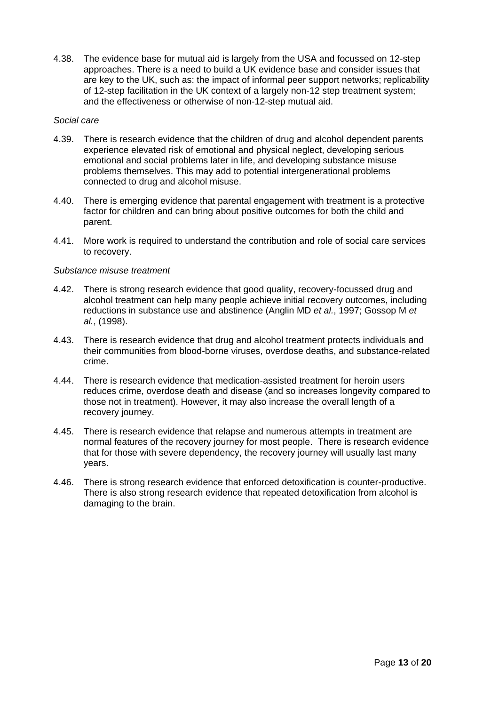4.38. The evidence base for mutual aid is largely from the USA and focussed on 12-step approaches. There is a need to build a UK evidence base and consider issues that are key to the UK, such as: the impact of informal peer support networks; replicability of 12-step facilitation in the UK context of a largely non-12 step treatment system; and the effectiveness or otherwise of non-12-step mutual aid.

#### *Social care*

- 4.39. There is research evidence that the children of drug and alcohol dependent parents experience elevated risk of emotional and physical neglect, developing serious emotional and social problems later in life, and developing substance misuse problems themselves. This may add to potential intergenerational problems connected to drug and alcohol misuse.
- 4.40. There is emerging evidence that parental engagement with treatment is a protective factor for children and can bring about positive outcomes for both the child and parent.
- 4.41. More work is required to understand the contribution and role of social care services to recovery.

#### *Substance misuse treatment*

- 4.42. There is strong research evidence that good quality, recovery-focussed drug and alcohol treatment can help many people achieve initial recovery outcomes, including reductions in substance use and abstinence (Anglin MD *et al.*, 1997; Gossop M *et al.*, (1998).
- 4.43. There is research evidence that drug and alcohol treatment protects individuals and their communities from blood-borne viruses, overdose deaths, and substance-related crime.
- 4.44. There is research evidence that medication-assisted treatment for heroin users reduces crime, overdose death and disease (and so increases longevity compared to those not in treatment). However, it may also increase the overall length of a recovery journey.
- 4.45. There is research evidence that relapse and numerous attempts in treatment are normal features of the recovery journey for most people. There is research evidence that for those with severe dependency, the recovery journey will usually last many years.
- 4.46. There is strong research evidence that enforced detoxification is counter-productive. There is also strong research evidence that repeated detoxification from alcohol is damaging to the brain.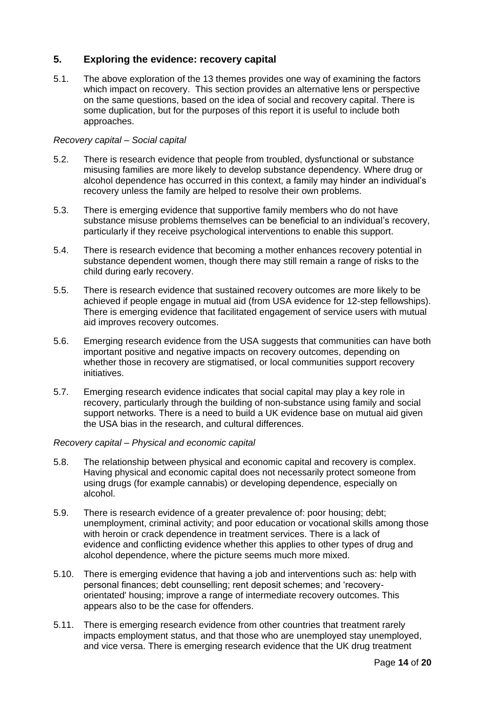# **5. Exploring the evidence: recovery capital**

5.1. The above exploration of the 13 themes provides one way of examining the factors which impact on recovery. This section provides an alternative lens or perspective on the same questions, based on the idea of social and recovery capital. There is some duplication, but for the purposes of this report it is useful to include both approaches.

# *Recovery capital – Social capital*

- 5.2. There is research evidence that people from troubled, dysfunctional or substance misusing families are more likely to develop substance dependency. Where drug or alcohol dependence has occurred in this context, a family may hinder an individual"s recovery unless the family are helped to resolve their own problems.
- 5.3. There is emerging evidence that supportive family members who do not have substance misuse problems themselves can be beneficial to an individual"s recovery, particularly if they receive psychological interventions to enable this support.
- 5.4. There is research evidence that becoming a mother enhances recovery potential in substance dependent women, though there may still remain a range of risks to the child during early recovery.
- 5.5. There is research evidence that sustained recovery outcomes are more likely to be achieved if people engage in mutual aid (from USA evidence for 12-step fellowships). There is emerging evidence that facilitated engagement of service users with mutual aid improves recovery outcomes.
- 5.6. Emerging research evidence from the USA suggests that communities can have both important positive and negative impacts on recovery outcomes, depending on whether those in recovery are stigmatised, or local communities support recovery initiatives.
- 5.7. Emerging research evidence indicates that social capital may play a key role in recovery, particularly through the building of non-substance using family and social support networks. There is a need to build a UK evidence base on mutual aid given the USA bias in the research, and cultural differences.

# *Recovery capital – Physical and economic capital*

- 5.8. The relationship between physical and economic capital and recovery is complex. Having physical and economic capital does not necessarily protect someone from using drugs (for example cannabis) or developing dependence, especially on alcohol.
- 5.9. There is research evidence of a greater prevalence of: poor housing; debt; unemployment, criminal activity; and poor education or vocational skills among those with heroin or crack dependence in treatment services. There is a lack of evidence and conflicting evidence whether this applies to other types of drug and alcohol dependence, where the picture seems much more mixed.
- 5.10. There is emerging evidence that having a job and interventions such as: help with personal finances; debt counselling; rent deposit schemes; and "recoveryorientated' housing; improve a range of intermediate recovery outcomes. This appears also to be the case for offenders.
- 5.11. There is emerging research evidence from other countries that treatment rarely impacts employment status, and that those who are unemployed stay unemployed, and vice versa. There is emerging research evidence that the UK drug treatment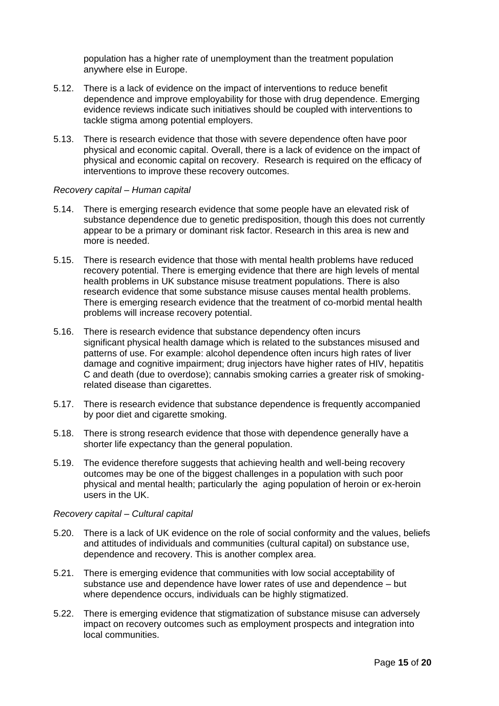population has a higher rate of unemployment than the treatment population anywhere else in Europe.

- 5.12. There is a lack of evidence on the impact of interventions to reduce benefit dependence and improve employability for those with drug dependence. Emerging evidence reviews indicate such initiatives should be coupled with interventions to tackle stigma among potential employers.
- 5.13. There is research evidence that those with severe dependence often have poor physical and economic capital. Overall, there is a lack of evidence on the impact of physical and economic capital on recovery. Research is required on the efficacy of interventions to improve these recovery outcomes.

#### *Recovery capital – Human capital*

- 5.14. There is emerging research evidence that some people have an elevated risk of substance dependence due to genetic predisposition, though this does not currently appear to be a primary or dominant risk factor. Research in this area is new and more is needed.
- 5.15. There is research evidence that those with mental health problems have reduced recovery potential. There is emerging evidence that there are high levels of mental health problems in UK substance misuse treatment populations. There is also research evidence that some substance misuse causes mental health problems. There is emerging research evidence that the treatment of co-morbid mental health problems will increase recovery potential.
- 5.16. There is research evidence that substance dependency often incurs significant physical health damage which is related to the substances misused and patterns of use. For example: alcohol dependence often incurs high rates of liver damage and cognitive impairment; drug injectors have higher rates of HIV, hepatitis C and death (due to overdose); cannabis smoking carries a greater risk of smokingrelated disease than cigarettes.
- 5.17. There is research evidence that substance dependence is frequently accompanied by poor diet and cigarette smoking.
- 5.18. There is strong research evidence that those with dependence generally have a shorter life expectancy than the general population.
- 5.19. The evidence therefore suggests that achieving health and well-being recovery outcomes may be one of the biggest challenges in a population with such poor physical and mental health; particularly the aging population of heroin or ex-heroin users in the UK.

#### *Recovery capital – Cultural capital*

- 5.20. There is a lack of UK evidence on the role of social conformity and the values, beliefs and attitudes of individuals and communities (cultural capital) on substance use, dependence and recovery. This is another complex area.
- 5.21. There is emerging evidence that communities with low social acceptability of substance use and dependence have lower rates of use and dependence – but where dependence occurs, individuals can be highly stigmatized.
- 5.22. There is emerging evidence that stigmatization of substance misuse can adversely impact on recovery outcomes such as employment prospects and integration into local communities.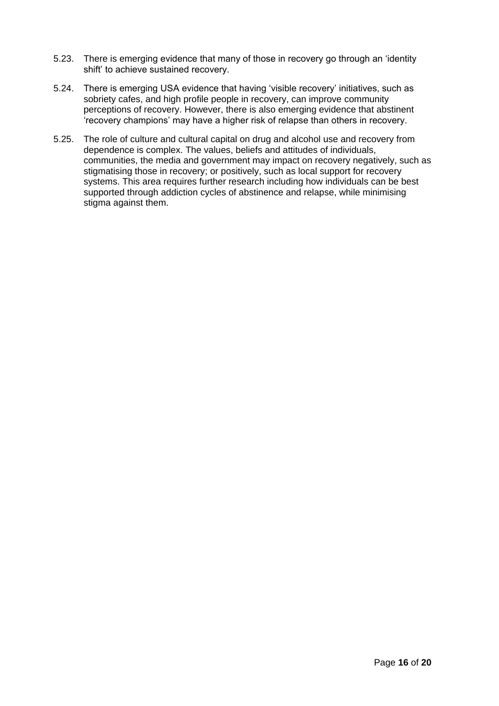- 5.23. There is emerging evidence that many of those in recovery go through an "identity shift' to achieve sustained recovery.
- 5.24. There is emerging USA evidence that having "visible recovery" initiatives, such as sobriety cafes, and high profile people in recovery, can improve community perceptions of recovery. However, there is also emerging evidence that abstinent "recovery champions" may have a higher risk of relapse than others in recovery.
- 5.25. The role of culture and cultural capital on drug and alcohol use and recovery from dependence is complex. The values, beliefs and attitudes of individuals, communities, the media and government may impact on recovery negatively, such as stigmatising those in recovery; or positively, such as local support for recovery systems. This area requires further research including how individuals can be best supported through addiction cycles of abstinence and relapse, while minimising stigma against them.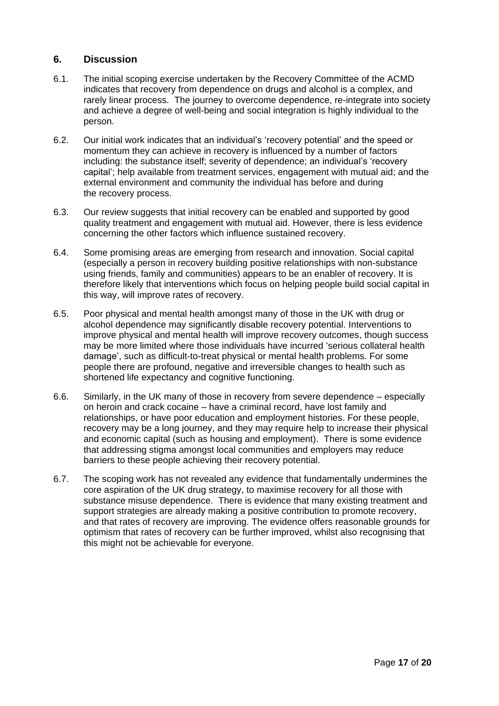# **6. Discussion**

- 6.1. The initial scoping exercise undertaken by the Recovery Committee of the ACMD indicates that recovery from dependence on drugs and alcohol is a complex, and rarely linear process. The journey to overcome dependence, re-integrate into society and achieve a degree of well-being and social integration is highly individual to the person.
- 6.2. Our initial work indicates that an individual"s "recovery potential" and the speed or momentum they can achieve in recovery is influenced by a number of factors including: the substance itself; severity of dependence; an individual's 'recovery capital"; help available from treatment services, engagement with mutual aid; and the external environment and community the individual has before and during the recovery process.
- 6.3. Our review suggests that initial recovery can be enabled and supported by good quality treatment and engagement with mutual aid. However, there is less evidence concerning the other factors which influence sustained recovery.
- 6.4. Some promising areas are emerging from research and innovation. Social capital (especially a person in recovery building positive relationships with non-substance using friends, family and communities) appears to be an enabler of recovery. It is therefore likely that interventions which focus on helping people build social capital in this way, will improve rates of recovery.
- 6.5. Poor physical and mental health amongst many of those in the UK with drug or alcohol dependence may significantly disable recovery potential. Interventions to improve physical and mental health will improve recovery outcomes, though success may be more limited where those individuals have incurred "serious collateral health damage", such as difficult-to-treat physical or mental health problems. For some people there are profound, negative and irreversible changes to health such as shortened life expectancy and cognitive functioning.
- 6.6. Similarly, in the UK many of those in recovery from severe dependence especially on heroin and crack cocaine – have a criminal record, have lost family and relationships, or have poor education and employment histories. For these people, recovery may be a long journey, and they may require help to increase their physical and economic capital (such as housing and employment). There is some evidence that addressing stigma amongst local communities and employers may reduce barriers to these people achieving their recovery potential.
- 6.7. The scoping work has not revealed any evidence that fundamentally undermines the core aspiration of the UK drug strategy, to maximise recovery for all those with substance misuse dependence. There is evidence that many existing treatment and support strategies are already making a positive contribution to promote recovery, and that rates of recovery are improving. The evidence offers reasonable grounds for optimism that rates of recovery can be further improved, whilst also recognising that this might not be achievable for everyone.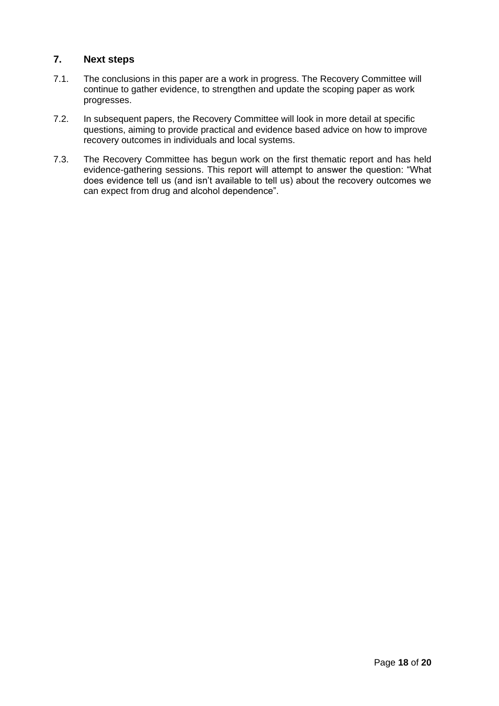# **7. Next steps**

- 7.1. The conclusions in this paper are a work in progress. The Recovery Committee will continue to gather evidence, to strengthen and update the scoping paper as work progresses.
- 7.2. In subsequent papers, the Recovery Committee will look in more detail at specific questions, aiming to provide practical and evidence based advice on how to improve recovery outcomes in individuals and local systems.
- 7.3. The Recovery Committee has begun work on the first thematic report and has held evidence-gathering sessions. This report will attempt to answer the question: "What does evidence tell us (and isn"t available to tell us) about the recovery outcomes we can expect from drug and alcohol dependence".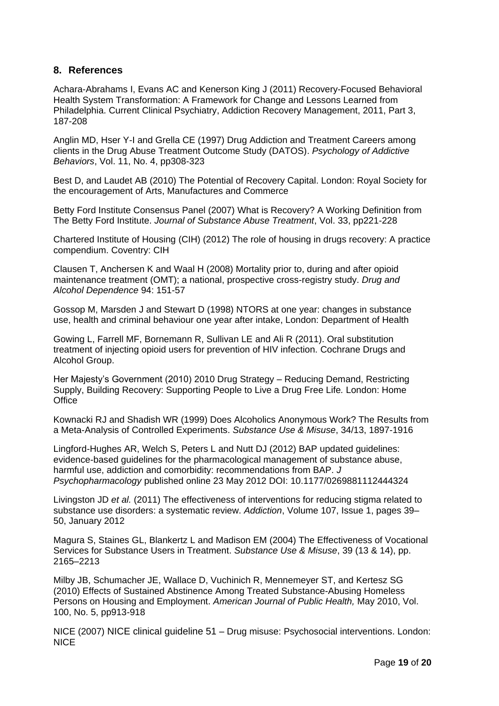# **8. References**

[Achara-Abrahams](http://www.springerlink.com/content/?Author=Ijeoma+Achara-Abrahams) I, [Evans](http://www.springerlink.com/content/?Author=Arthur+C.+Evans) AC and [Kenerson King](http://www.springerlink.com/content/?Author=Joan+Kenerson+King) J (2011) [Recovery-Focused Behavioral](http://www.springerlink.com/content/t66020j91l325174/)  [Health System Transformation: A Framework for Change and Lessons Learned from](http://www.springerlink.com/content/t66020j91l325174/)  [Philadelphia.](http://www.springerlink.com/content/t66020j91l325174/) [Current Clinical Psychiatry,](http://www.springerlink.com/content/g60167/) Addiction Recovery Management, 2011, Part 3, 187-208

Anglin MD, Hser Y-I and Grella CE (1997) Drug Addiction and Treatment Careers among clients in the Drug Abuse Treatment Outcome Study (DATOS). *Psychology of Addictive Behaviors*, Vol. 11, No. 4, pp308-323

Best D, and Laudet AB (2010) The Potential of Recovery Capital. London: Royal Society for the encouragement of Arts, Manufactures and Commerce

Betty Ford Institute Consensus Panel (2007) What is Recovery? A Working Definition from The Betty Ford Institute. *Journal of Substance Abuse Treatment*, Vol. 33, pp221-228

Chartered Institute of Housing (CIH) (2012) The role of housing in drugs recovery: A practice compendium. Coventry: CIH

Clausen T, Anchersen K and Waal H (2008) Mortality prior to, during and after opioid maintenance treatment (OMT); a national, prospective cross-registry study. *Drug and Alcohol Dependence* 94: 151-57

Gossop M, Marsden J and Stewart D (1998) NTORS at one year: changes in substance use, health and criminal behaviour one year after intake, London: Department of Health

Gowing L, Farrell MF, Bornemann R, Sullivan LE and Ali R (2011). Oral substitution treatment of injecting opioid users for prevention of HIV infection. [Cochrane Drugs and](http://onlinelibrary.wiley.com/o/cochrane/clabout/articles/ADDICTN/frame.html)  [Alcohol Group.](http://onlinelibrary.wiley.com/o/cochrane/clabout/articles/ADDICTN/frame.html)

Her Majesty"s Government (2010) 2010 Drug Strategy – Reducing Demand, Restricting Supply, Building Recovery: Supporting People to Live a Drug Free Life*.* London: Home **Office** 

Kownacki RJ and Shadish WR (1999) Does Alcoholics Anonymous Work? The Results from a Meta-Analysis of Controlled Experiments. *Substance Use & Misuse*, 34/13, 1897-1916

Lingford-Hughes AR, Welch S, Peters L and Nutt DJ (2012) BAP updated guidelines: evidence-based guidelines for the pharmacological management of substance abuse, harmful use, addiction and comorbidity: recommendations from BAP. *J Psychopharmacology* published online 23 May 2012 DOI: 10.1177/0269881112444324

Livingston JD *et al.* (2011) The effectiveness of interventions for reducing stigma related to substance use disorders: a systematic review. *Addiction*, Volume 107, Issue 1, pages 39– 50, January 2012

Magura S, Staines GL, Blankertz L and Madison EM (2004) The Effectiveness of Vocational Services for Substance Users in Treatment. *Substance Use & Misuse*, 39 (13 & 14), pp. 2165–2213

Milby JB, Schumacher JE, Wallace D, Vuchinich R, Mennemeyer ST, and Kertesz SG (2010) Effects of Sustained Abstinence Among Treated Substance-Abusing Homeless Persons on Housing and Employment. *American Journal of Public Health,* May 2010, Vol. 100, No. 5, pp913-918

NICE (2007) NICE clinical guideline 51 – Drug misuse: Psychosocial interventions. London: NICE